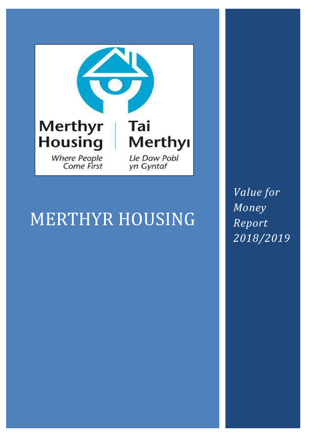

# MERTHYR HOUSING

*Value for Money Report 2018/2019*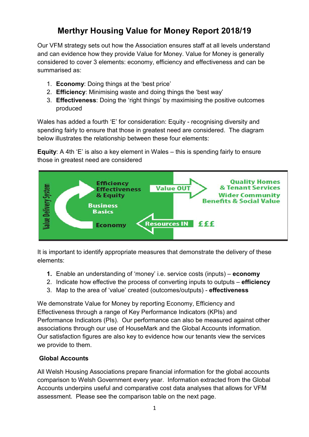# **Merthyr Housing Value for Money Report 2018/19**

Our VFM strategy sets out how the Association ensures staff at all levels understand and can evidence how they provide Value for Money. Value for Money is generally considered to cover 3 elements: economy, efficiency and effectiveness and can be summarised as:

- 1. **Economy**: Doing things at the 'best price'
- 2. **Efficiency**: Minimising waste and doing things the 'best way'
- 3. **Effectiveness**: Doing the 'right things' by maximising the positive outcomes produced

Wales has added a fourth 'E' for consideration: Equity - recognising diversity and spending fairly to ensure that those in greatest need are considered. The diagram below illustrates the relationship between these four elements:

**Equity**: A 4th 'E' is also a key element in Wales – this is spending fairly to ensure those in greatest need are considered



It is important to identify appropriate measures that demonstrate the delivery of these elements:

- **1.** Enable an understanding of 'money' i.e. service costs (inputs) **economy**
- 2. Indicate how effective the process of converting inputs to outputs **efficiency**
- 3. Map to the area of 'value' created (outcomes/outputs) **effectiveness**

We demonstrate Value for Money by reporting Economy, Efficiency and Effectiveness through a range of Key Performance Indicators (KPIs) and Performance Indicators (PIs). Our performance can also be measured against other associations through our use of HouseMark and the Global Accounts information. Our satisfaction figures are also key to evidence how our tenants view the services we provide to them.

# **Global Accounts**

All Welsh Housing Associations prepare financial information for the global accounts comparison to Welsh Government every year. Information extracted from the Global Accounts underpins useful and comparative cost data analyses that allows for VFM assessment. Please see the comparison table on the next page.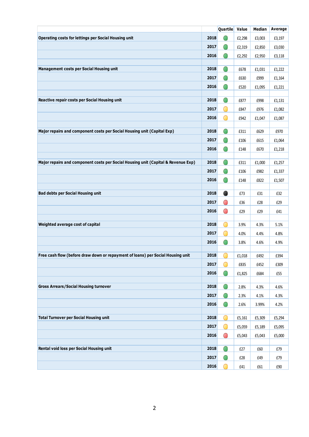|                                                                                   |      | Quartile Value |        | Median | Average |
|-----------------------------------------------------------------------------------|------|----------------|--------|--------|---------|
| Operating costs for lettings per Social Housing unit                              | 2018 | $\bigcirc$     | £2,298 | £3,003 | £3,197  |
|                                                                                   | 2017 | $\bigcirc$     | £2,319 | £2,850 | £3,030  |
|                                                                                   | 2016 | $\bigcirc$     | £2,292 | £2,950 | £3,118  |
|                                                                                   |      |                |        |        |         |
| <b>Management costs per Social Housing unit</b>                                   | 2018 | $\bigcirc$     | £678   | £1,031 | £1,222  |
|                                                                                   | 2017 | O              | £630   | £999   | £1,164  |
|                                                                                   | 2016 | $\bigcirc$     | £520   | £1,095 | £1,221  |
| Reactive repair costs per Social Housing unit                                     | 2018 | $\bigcirc$     | £877   | £998   | £1,131  |
|                                                                                   | 2017 | O              |        |        |         |
|                                                                                   |      | $\bigcirc$     | £847   | £976   | £1,082  |
|                                                                                   | 2016 |                | £942   | £1,047 | £1,087  |
| Major repairs and component costs per Social Housing unit (Capital Exp)           | 2018 | $\bigcirc$     | £311   | £629   | £970    |
|                                                                                   | 2017 | O              | £106   | £615   | £1,064  |
|                                                                                   | 2016 | $\bigcirc$     | £148   | £670   | £1,218  |
|                                                                                   |      |                |        |        |         |
| Major repairs and component costs per Social Housing unit (Capital & Revenue Exp) | 2018 | $\bigcirc$     | £311   | £1,000 | £1,257  |
|                                                                                   | 2017 | O              | £106   | £982   | £1,337  |
|                                                                                   | 2016 | O              | £148   | £822   | £1,507  |
|                                                                                   |      |                |        |        |         |
| <b>Bad debts per Social Housing unit</b>                                          | 2018 | $\bullet$      | £73    | £31    | £32     |
|                                                                                   | 2017 | $\bigcirc$     | £36    | £28    | £29     |
|                                                                                   | 2016 | $\bigcirc$     | £29    | £29    | £41     |
| Weighted average cost of capital                                                  | 2018 | O              | 3.9%   | 4.3%   | 5.1%    |
|                                                                                   | 2017 | Ο              | 4.0%   | 4.4%   | 4.8%    |
|                                                                                   | 2016 | O              | 3.8%   | 4.6%   | 4.9%    |
|                                                                                   |      |                |        |        |         |
| Free cash flow (before draw down or repayment of loans) per Social Housing unit   | 2018 |                | £1,018 | £492   | £394    |
|                                                                                   | 2017 | O              | £835   | £452   | £309    |
|                                                                                   | 2016 | $\bigcirc$     | £1,825 | £684   | £55     |
|                                                                                   |      |                |        |        |         |
| <b>Gross Arrears/Social Housing turnover</b>                                      | 2018 | O              | 2.8%   | 4.3%   | 4.6%    |
|                                                                                   | 2017 | $\bullet$      | 2.3%   | 4.1%   | 4.3%    |
|                                                                                   | 2016 | $\bigcirc$     | 2.6%   | 3.99%  | 4.2%    |
| <b>Total Turnover per Social Housing unit</b>                                     | 2018 | Ο              | £5,161 | £5,309 | £5,294  |
|                                                                                   | 2017 | $\bigcirc$     | £5,059 | £5,189 | £5,095  |
|                                                                                   | 2016 | $\bigcirc$     | £5,043 | £5,043 | £5,000  |
|                                                                                   |      |                |        |        |         |
| Rental void loss per Social Housing unit                                          | 2018 | O              | £27    | £60    | £79     |
|                                                                                   | 2017 | O              | £28    | £49    | £79     |
|                                                                                   | 2016 | ∩              | £41    | £61    | £90     |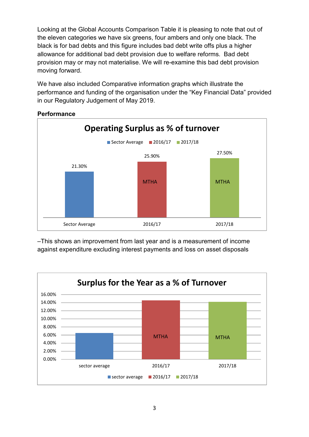Looking at the Global Accounts Comparison Table it is pleasing to note that out of the eleven categories we have six greens, four ambers and only one black. The black is for bad debts and this figure includes bad debt write offs plus a higher allowance for additional bad debt provision due to welfare reforms. Bad debt provision may or may not materialise. We will re-examine this bad debt provision moving forward.

We have also included Comparative information graphs which illustrate the performance and funding of the organisation under the "Key Financial Data" provided in our Regulatory Judgement of May 2019.



# **Performance**

–This shows an improvement from last year and is a measurement of income against expenditure excluding interest payments and loss on asset disposals

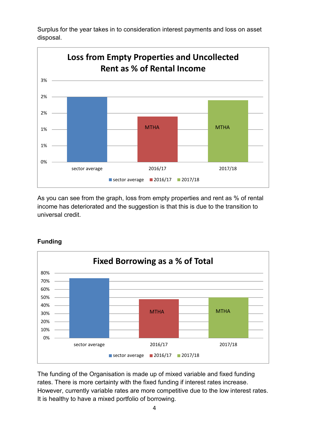Surplus for the year takes in to consideration interest payments and loss on asset disposal.



As you can see from the graph, loss from empty properties and rent as % of rental income has deteriorated and the suggestion is that this is due to the transition to universal credit.



**Funding** 

The funding of the Organisation is made up of mixed variable and fixed funding rates. There is more certainty with the fixed funding if interest rates increase. However, currently variable rates are more competitive due to the low interest rates. It is healthy to have a mixed portfolio of borrowing.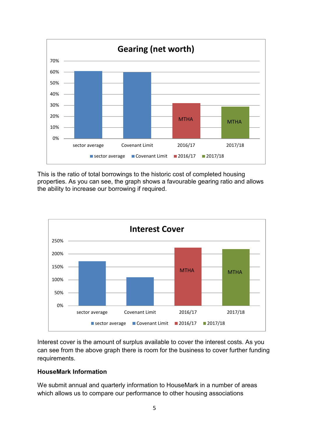

This is the ratio of total borrowings to the historic cost of completed housing properties. As you can see, the graph shows a favourable gearing ratio and allows the ability to increase our borrowing if required.



Interest cover is the amount of surplus available to cover the interest costs. As you can see from the above graph there is room for the business to cover further funding requirements.

#### **HouseMark Information**

We submit annual and quarterly information to HouseMark in a number of areas which allows us to compare our performance to other housing associations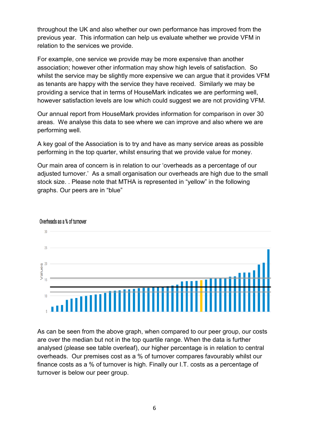throughout the UK and also whether our own performance has improved from the previous year. This information can help us evaluate whether we provide VFM in relation to the services we provide.

For example, one service we provide may be more expensive than another association; however other information may show high levels of satisfaction. So whilst the service may be slightly more expensive we can argue that it provides VFM as tenants are happy with the service they have received. Similarly we may be providing a service that in terms of HouseMark indicates we are performing well, however satisfaction levels are low which could suggest we are not providing VFM.

Our annual report from HouseMark provides information for comparison in over 30 areas. We analyse this data to see where we can improve and also where we are performing well.

A key goal of the Association is to try and have as many service areas as possible performing in the top quarter, whilst ensuring that we provide value for money.

Our main area of concern is in relation to our 'overheads as a percentage of our adjusted turnover.' As a small organisation our overheads are high due to the small stock size. . Please note that MTHA is represented in "yellow" in the following graphs. Our peers are in "blue"



Overheads as a % of turnover

As can be seen from the above graph, when compared to our peer group, our costs are over the median but not in the top quartile range. When the data is further analysed (please see table overleaf), our higher percentage is in relation to central overheads. Our premises cost as a % of turnover compares favourably whilst our finance costs as a % of turnover is high. Finally our I.T. costs as a percentage of turnover is below our peer group.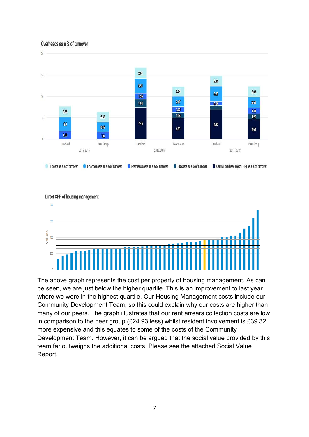#### Overheads as a % of turnover



# Direct CPP of housing management 800 600 Values  $400$  $200$

The above graph represents the cost per property of housing management. As can be seen, we are just below the higher quartile. This is an improvement to last year where we were in the highest quartile. Our Housing Management costs include our Community Development Team, so this could explain why our costs are higher than many of our peers. The graph illustrates that our rent arrears collection costs are low in comparison to the peer group (£24.93 less) whilst resident involvement is £39.32 more expensive and this equates to some of the costs of the Community Development Team. However, it can be argued that the social value provided by this team far outweighs the additional costs. Please see the attached Social Value Report.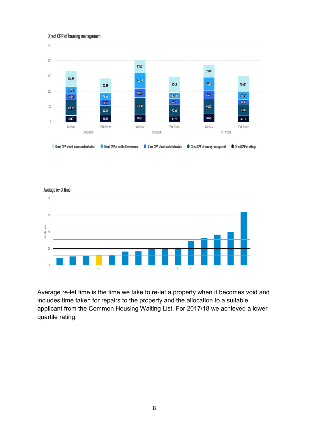#### Direct CPP of housing management



Average re-let time  $80$  $60$ Values 40 20  $\overline{0}$  $\wedge$  $\bar{\mathbf{A}}$  $\Lambda$  $\lambda$  $\mathbf A$  $\Lambda$  $\boldsymbol{\Lambda}$  $\bar{\Lambda}$  $\Lambda$  $\Lambda$  $\lambda$  $\Lambda$  $\bar{\kappa}$ 

Average re-let time is the time we take to re-let a property when it becomes void and includes time taken for repairs to the property and the allocation to a suitable applicant from the Common Housing Waiting List. For 2017/18 we achieved a lower quartile rating.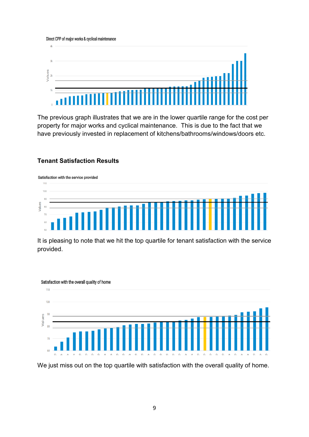Direct CPP of major works & cyclical maintenance



The previous graph illustrates that we are in the lower quartile range for the cost per property for major works and cyclical maintenance. This is due to the fact that we have previously invested in replacement of kitchens/bathrooms/windows/doors etc.

# **Tenant Satisfaction Results**



It is pleasing to note that we hit the top quartile for tenant satisfaction with the service provided.



We just miss out on the top quartile with satisfaction with the overall quality of home.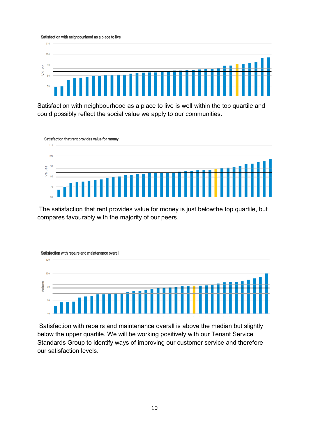#### Satisfaction with neighbourhood as a place to live



Satisfaction with neighbourhood as a place to live is well within the top quartile and could possibly reflect the social value we apply to our communities.

Satisfaction that rent provides value for money



 The satisfaction that rent provides value for money is just belowthe top quartile, but compares favourably with the majority of our peers.



 Satisfaction with repairs and maintenance overall is above the median but slightly below the upper quartile. We will be working positively with our Tenant Service Standards Group to identify ways of improving our customer service and therefore our satisfaction levels.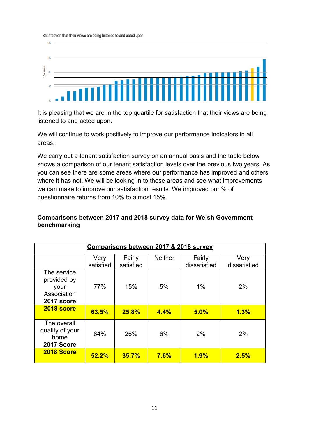Satisfaction that their views are being listened to and acted upon



It is pleasing that we are in the top quartile for satisfaction that their views are being listened to and acted upon.

We will continue to work positively to improve our performance indicators in all areas.

We carry out a tenant satisfaction survey on an annual basis and the table below shows a comparison of our tenant satisfaction levels over the previous two years. As you can see there are some areas where our performance has improved and others where it has not. We will be looking in to these areas and see what improvements we can make to improve our satisfaction results. We improved our % of questionnaire returns from 10% to almost 15%.

#### **Comparisons between 2017 and 2018 survey data for Welsh Government benchmarking**

| Comparisons between 2017 & 2018 survey                          |                  |                  |                |                       |                    |  |
|-----------------------------------------------------------------|------------------|------------------|----------------|-----------------------|--------------------|--|
|                                                                 | Very             | Fairly           | <b>Neither</b> | Fairly                | Very               |  |
| The service<br>provided by<br>your<br>Association<br>2017 score | satisfied<br>77% | satisfied<br>15% | 5%             | dissatisfied<br>$1\%$ | dissatisfied<br>2% |  |
| 2018 score                                                      | 63.5%            | 25.8%            | 4.4%           | 5.0%                  | 1.3%               |  |
| The overall<br>quality of your<br>home<br>2017 Score            | 64%              | 26%              | 6%             | 2%                    | 2%                 |  |
| 2018 Score                                                      | 52.2%            | 35.7%            | 7.6%           | 1.9%                  | 2.5%               |  |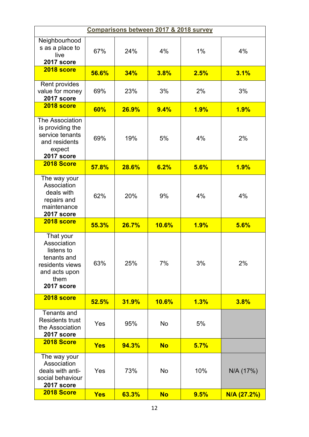| Comparisons between 2017 & 2018 survey                                                                          |            |       |              |       |             |  |
|-----------------------------------------------------------------------------------------------------------------|------------|-------|--------------|-------|-------------|--|
| Neighbourhood<br>s as a place to<br>live<br>2017 score                                                          | 67%        | 24%   | 4%           | $1\%$ | 4%          |  |
| 2018 score                                                                                                      | 56.6%      | 34%   | 3.8%         | 2.5%  | 3.1%        |  |
| Rent provides<br>value for money<br>2017 score                                                                  | 69%        | 23%   | 3%           | 2%    | 3%          |  |
| 2018 score                                                                                                      | 60%        | 26.9% | 9.4%         | 1.9%  | 1.9%        |  |
| The Association<br>is providing the<br>service tenants<br>and residents<br>expect<br>2017 score                 | 69%        | 19%   | 5%           | 4%    | 2%          |  |
| 2018 Score                                                                                                      | 57.8%      | 28.6% | 6.2%         | 5.6%  | 1.9%        |  |
| The way your<br>Association<br>deals with<br>repairs and<br>maintenance<br>2017 score                           | 62%        | 20%   | 9%           | 4%    | 4%          |  |
| 2018 score                                                                                                      | 55.3%      | 26.7% | <b>10.6%</b> | 1.9%  | 5.6%        |  |
| That your<br>Association<br>listens to<br>tenants and<br>residents views<br>and acts upon<br>them<br>2017 score | 63%        | 25%   | 7%           | 3%    | 2%          |  |
| 2018 score                                                                                                      | 52.5%      | 31.9% | <b>10.6%</b> | 1.3%  | 3.8%        |  |
| Tenants and<br><b>Residents trust</b><br>the Association<br>2017 score                                          | Yes        | 95%   | No           | 5%    |             |  |
| 2018 Score                                                                                                      | <b>Yes</b> | 94.3% | <b>No</b>    | 5.7%  |             |  |
| The way your<br>Association<br>deals with anti-<br>social behaviour<br>2017 score                               | Yes        | 73%   | No           | 10%   | N/A (17%)   |  |
| 2018 Score                                                                                                      | <b>Yes</b> | 63.3% | <b>No</b>    | 9.5%  | N/A (27.2%) |  |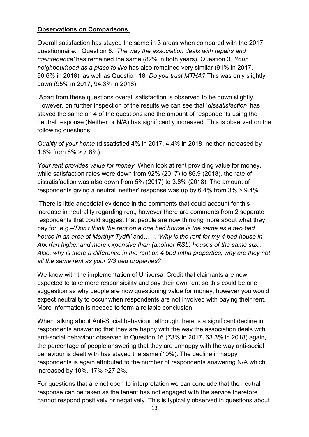# **Observations on Comparisons.**

Overall satisfaction has stayed the same in 3 areas when compared with the 2017 questionnaire. Question 6. '*The way the association deals with repairs and maintenance'* has remained the same (82% in both years). Question 3. *Your neighbourhood as a place to live* has also remained very similar (91% in 2017, 90.6% in 2018), as well as Question 18. *Do you trust MTHA?* This was only slightly down (95% in 2017, 94.3% in 2018).

 Apart from these questions overall satisfaction is observed to be down slightly. However, on further inspection of the results we can see that '*dissatisfaction'* has stayed the same on 4 of the questions and the amount of respondents using the neutral response (Neither or N/A) has significantly increased. This is observed on the following questions:

*Quality of your home* (dissatisfied 4% in 2017, 4.4% in 2018, neither increased by 1.6% from  $6\% > 7.6\%$ ).

*Your rent provides value for money.* When look at rent providing value for money, while satisfaction rates were down from 92% (2017) to 86.9 (2018), the rate of dissatisfaction was also down from 5% (2017) to 3.8% (2018). The amount of respondents giving a neutral 'neither' response was up by 6.4% from 3% > 9.4%.

 There is little anecdotal evidence in the comments that could account for this increase in neutrality regarding rent, however there are comments from 2 separate respondents that could suggest that people are now thinking more about what they pay for e.g.–'*Don't think the rent on a one bed house is the same as a two bed house in an area of Merthyr Tydfil'* and…… *'Why is the rent for my 4 bed house in Aberfan higher and more expensive than (another RSL) houses of the same size. Also, why is there a difference in the rent on 4 bed mtha properties, why are they not all the same rent as your 2/3 bed properties?*

We know with the implementation of Universal Credit that claimants are now expected to take more responsibility and pay their own rent so this could be one suggestion as why people are now questioning value for money; however you would expect neutrality to occur when respondents are not involved with paying their rent. More information is needed to form a reliable conclusion.

When talking about Anti-Social behaviour, although there is a significant decline in respondents answering that they are happy with the way the association deals with anti-social behaviour observed in Question 16 (73% in 2017, 63.3% in 2018) again, the percentage of people answering that they are unhappy with the way anti-social behaviour is dealt with has stayed the same (10%). The decline in happy respondents is again attributed to the number of respondents answering N/A which increased by 10%, 17% >27.2%.

For questions that are not open to interpretation we can conclude that the neutral response can be taken as the tenant has not engaged with the service therefore cannot respond positively or negatively. This is typically observed in questions about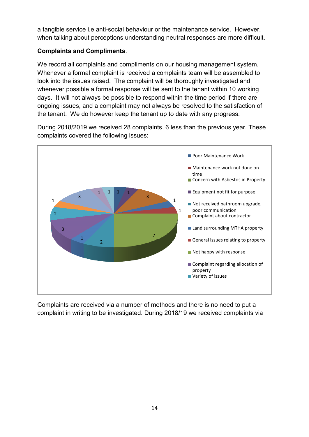a tangible service i.e anti-social behaviour or the maintenance service. However, when talking about perceptions understanding neutral responses are more difficult.

# **Complaints and Compliments**.

We record all complaints and compliments on our housing management system. Whenever a formal complaint is received a complaints team will be assembled to look into the issues raised. The complaint will be thoroughly investigated and whenever possible a formal response will be sent to the tenant within 10 working days. It will not always be possible to respond within the time period if there are ongoing issues, and a complaint may not always be resolved to the satisfaction of the tenant. We do however keep the tenant up to date with any progress.

During 2018/2019 we received 28 complaints, 6 less than the previous year. These complaints covered the following issues:



Complaints are received via a number of methods and there is no need to put a complaint in writing to be investigated. During 2018/19 we received complaints via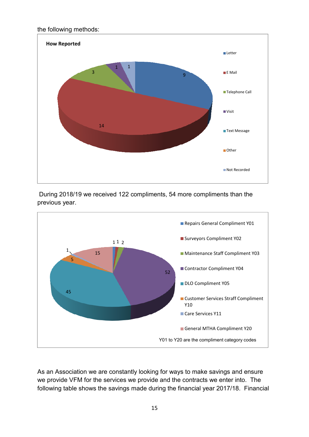the following methods:



 During 2018/19 we received 122 compliments, 54 more compliments than the previous year.



As an Association we are constantly looking for ways to make savings and ensure we provide VFM for the services we provide and the contracts we enter into. The following table shows the savings made during the financial year 2017/18. Financial